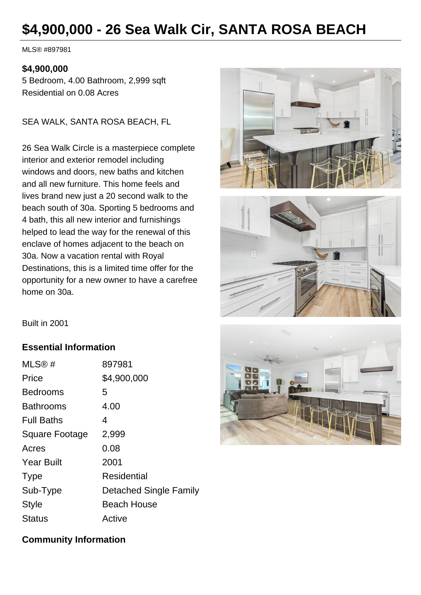# **\$4,900,000 - 26 Sea Walk Cir, SANTA ROSA BEACH**

MLS® #897981

#### **\$4,900,000**

5 Bedroom, 4.00 Bathroom, 2,999 sqft Residential on 0.08 Acres

SEA WALK, SANTA ROSA BEACH, FL

26 Sea Walk Circle is a masterpiece complete interior and exterior remodel including windows and doors, new baths and kitchen and all new furniture. This home feels and lives brand new just a 20 second walk to the beach south of 30a. Sporting 5 bedrooms and 4 bath, this all new interior and furnishings helped to lead the way for the renewal of this enclave of homes adjacent to the beach on 30a. Now a vacation rental with Royal Destinations, this is a limited time offer for the opportunity for a new owner to have a carefree home on 30a.





Built in 2001

### **Essential Information**

| MLS@#             | 897981                 |
|-------------------|------------------------|
| Price             | \$4,900,000            |
| <b>Bedrooms</b>   | 5                      |
| <b>Bathrooms</b>  | 4.00                   |
| <b>Full Baths</b> | 4                      |
| Square Footage    | 2,999                  |
| Acres             | 0.08                   |
| <b>Year Built</b> | 2001                   |
| <b>Type</b>       | <b>Residential</b>     |
| Sub-Type          | Detached Single Family |
| <b>Style</b>      | <b>Beach House</b>     |
| Status            | Active                 |



#### **Community Information**